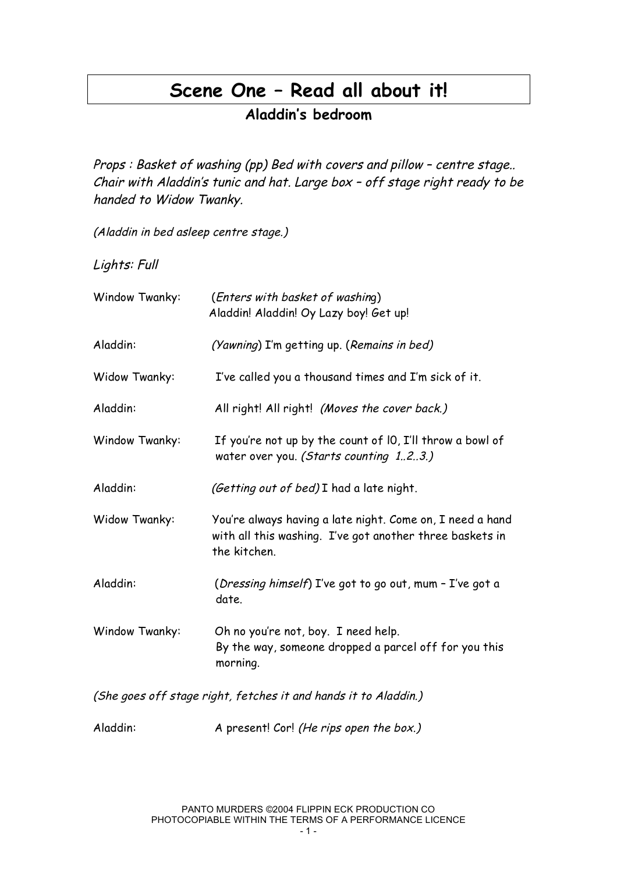# **Scene One – Read all about it!**

**Aladdin's bedroom**

Props : Basket of washing (pp) Bed with covers and pillow – centre stage.. Chair with Aladdin's tunic and hat. Large box – off stage right ready to be handed to Widow Twanky.

(Aladdin in bed asleep centre stage.)

Lights: Full

| Window Twanky:                                                  | (Enters with basket of washing)<br>Aladdin! Aladdin! Oy Lazy boy! Get up!                                                             |
|-----------------------------------------------------------------|---------------------------------------------------------------------------------------------------------------------------------------|
| Aladdin:                                                        | (Yawning) I'm getting up. (Remains in bed)                                                                                            |
| Widow Twanky:                                                   | I've called you a thousand times and I'm sick of it.                                                                                  |
| Aladdin:                                                        | All right! All right! (Moves the cover back.)                                                                                         |
| Window Twanky:                                                  | If you're not up by the count of 10, I'll throw a bowl of<br>water over you. (Starts counting 123.)                                   |
| Aladdin:                                                        | (Getting out of bed) I had a late night.                                                                                              |
| Widow Twanky:                                                   | You're always having a late night. Come on, I need a hand<br>with all this washing. I've got another three baskets in<br>the kitchen. |
| Aladdin:                                                        | (Dressing himself) I've got to go out, mum - I've got a<br>date.                                                                      |
| Window Twanky:                                                  | Oh no you're not, boy. I need help.<br>By the way, someone dropped a parcel off for you this<br>morning.                              |
| (She goes off stage right, fetches it and hands it to Aladdin.) |                                                                                                                                       |

Aladdin: A present! Cor! (He rips open the box.)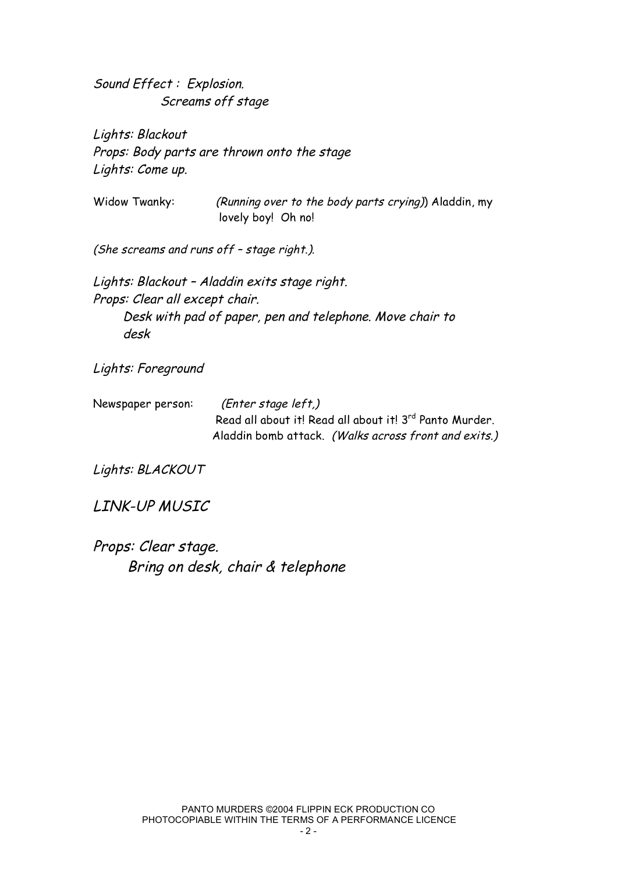Sound Effect : Explosion. Screams off stage

Lights: Blackout Props: Body parts are thrown onto the stage Lights: Come up.

Widow Twanky: (Running over to the body parts crying)) Aladdin, my lovely boy! Oh no!

(She screams and runs off – stage right.).

Lights: Blackout – Aladdin exits stage right. Props: Clear all except chair. Desk with pad of paper, pen and telephone. Move chair to desk

Lights: Foreground

Newspaper person: (Enter stage left,) Read all about it! Read all about it! 3<sup>rd</sup> Panto Murder. Aladdin bomb attack. (Walks across front and exits.)

Lights: BLACKOUT

LINK-UP MUSIC

Props: Clear stage. Bring on desk, chair & telephone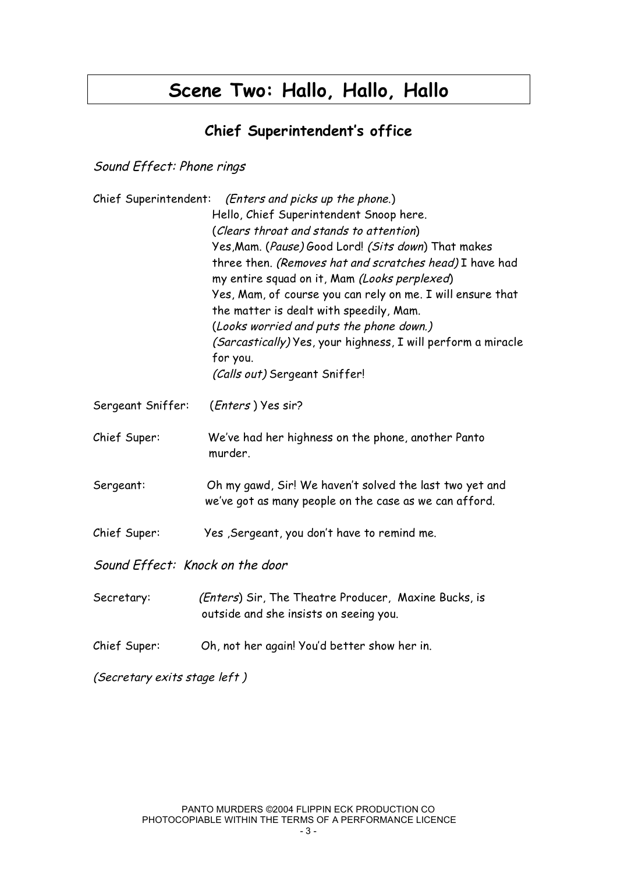# **Scene Two: Hallo, Hallo, Hallo**

## **Chief Superintendent's office**

Sound Effect: Phone rings

|                                 | Chief Superintendent: (Enters and picks up the phone.)<br>Hello, Chief Superintendent Snoop here.<br>(Clears throat and stands to attention)<br>Yes, Mam. (Pause) Good Lord! (Sits down) That makes<br>three then. (Removes hat and scratches head) I have had<br>my entire squad on it, Mam (Looks perplexed)<br>Yes, Mam, of course you can rely on me. I will ensure that<br>the matter is dealt with speedily, Mam.<br>(Looks worried and puts the phone down.)<br>(Sarcastically) Yes, your highness, I will perform a miracle<br>for you.<br>(Calls out) Sergeant Sniffer! |
|---------------------------------|----------------------------------------------------------------------------------------------------------------------------------------------------------------------------------------------------------------------------------------------------------------------------------------------------------------------------------------------------------------------------------------------------------------------------------------------------------------------------------------------------------------------------------------------------------------------------------|
| Sergeant Sniffer:               | (Enters) Yes sir?                                                                                                                                                                                                                                                                                                                                                                                                                                                                                                                                                                |
| Chief Super:                    | We've had her highness on the phone, another Panto<br>murder.                                                                                                                                                                                                                                                                                                                                                                                                                                                                                                                    |
| Sergeant:                       | Oh my gawd, Sir! We haven't solved the last two yet and<br>we've got as many people on the case as we can afford.                                                                                                                                                                                                                                                                                                                                                                                                                                                                |
| Chief Super:                    | Yes , Sergeant, you don't have to remind me.                                                                                                                                                                                                                                                                                                                                                                                                                                                                                                                                     |
| Sound Effect: Knock on the door |                                                                                                                                                                                                                                                                                                                                                                                                                                                                                                                                                                                  |
| Secretary:                      | (Enters) Sir, The Theatre Producer, Maxine Bucks, is<br>outside and she insists on seeing you.                                                                                                                                                                                                                                                                                                                                                                                                                                                                                   |
| Chief Super:                    | Oh, not her again! You'd better show her in.                                                                                                                                                                                                                                                                                                                                                                                                                                                                                                                                     |

(Secretary exits stage left )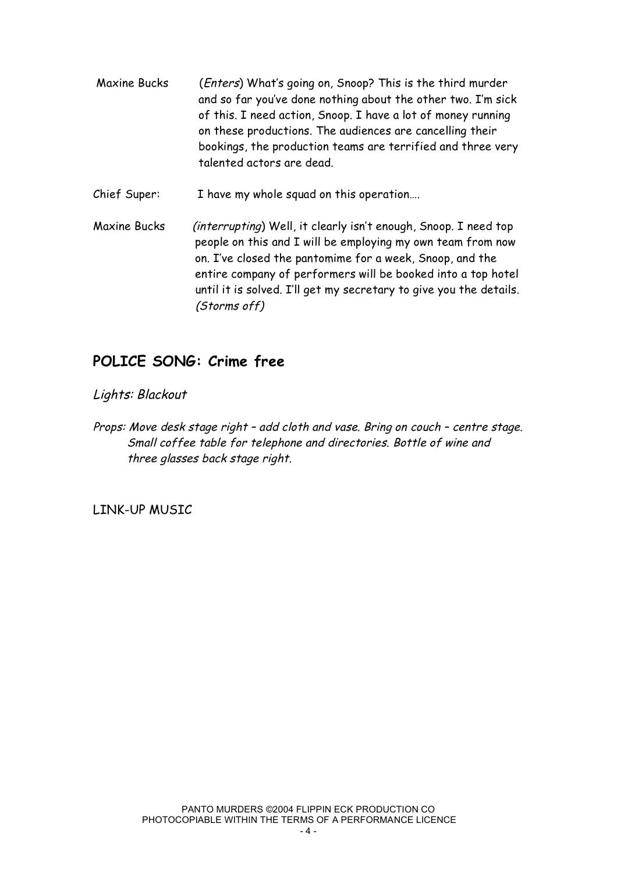Maxine Bucks (Enters) What's going on, Snoop? This is the third murder and so far you've done nothing about the other two. I'm sick of this. I need action, Snoop. I have a lot of money running on these productions. The audiences are cancelling their bookings, the production teams are terrified and three very talented actors are dead. Chief Super: I have my whole squad on this operation…. Maxine Bucks (interrupting) Well, it clearly isn't enough, Snoop. I need top

people on this and I will be employing my own team from now on. I've closed the pantomime for a week, Snoop, and the entire company of performers will be booked into a top hotel until it is solved. I'll get my secretary to give you the details. (Storms off)

## **POLICE SONG: Crime free**

#### Lights: Blackout

Props: Move desk stage right – add cloth and vase. Bring on couch – centre stage. Small coffee table for telephone and directories. Bottle of wine and three glasses back stage right.

LINK-UP MUSIC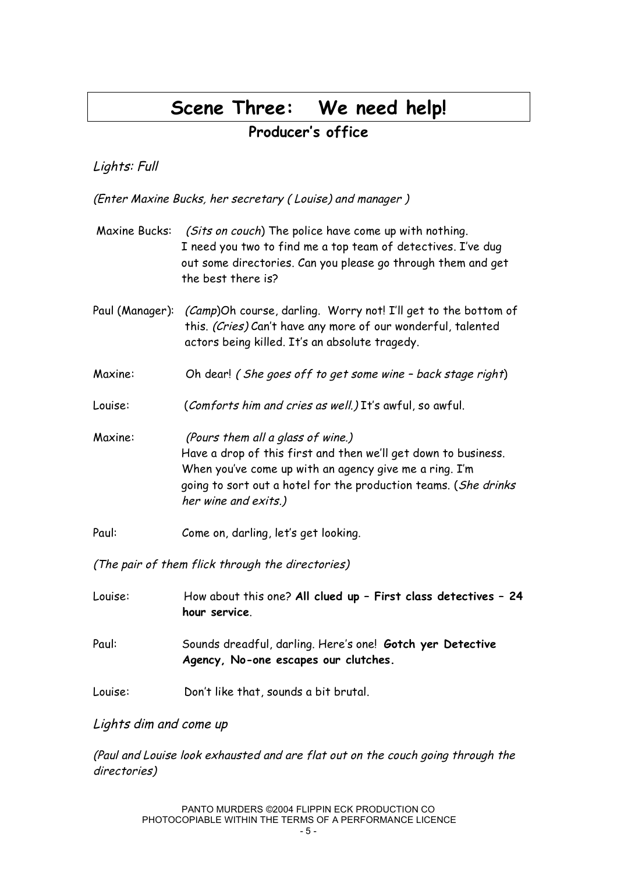# **Scene Three: We need help!**

## **Producer's office**

#### Lights: Full

(Enter Maxine Bucks, her secretary ( Louise) and manager )

| Maxine Bucks: | (Sits on couch) The police have come up with nothing.<br>I need you two to find me a top team of detectives. I've dug<br>out some directories. Can you please go through them and get<br>the best there is?                                              |
|---------------|----------------------------------------------------------------------------------------------------------------------------------------------------------------------------------------------------------------------------------------------------------|
|               | Paul (Manager): <i>(Camp</i> )Oh course, darling. Worry not! I'll get to the bottom of<br>this. (Cries) Can't have any more of our wonderful, talented<br>actors being killed. It's an absolute tragedy.                                                 |
| Maxine:       | Oh dear! (She goes off to get some wine - back stage right)                                                                                                                                                                                              |
| Louise:       | (Comforts him and cries as well.) It's awful, so awful.                                                                                                                                                                                                  |
| Maxine:       | (Pours them all a glass of wine.)<br>Have a drop of this first and then we'll get down to business.<br>When you've come up with an agency give me a ring. I'm<br>going to sort out a hotel for the production teams. (She drinks<br>her wine and exits.) |
| Paul:         | Come on, darling, let's get looking.                                                                                                                                                                                                                     |
|               |                                                                                                                                                                                                                                                          |

(The pair of them flick through the directories)

| Louise: | How about this one? All clued up - First class detectives - 24<br>hour service.                   |
|---------|---------------------------------------------------------------------------------------------------|
| Paul:   | Sounds dreadful, darling. Here's one! Gotch yer Detective<br>Agency, No-one escapes our clutches. |
| Louise: | Don't like that, sounds a bit brutal.                                                             |

#### Lights dim and come up

(Paul and Louise look exhausted and are flat out on the couch going through the directories)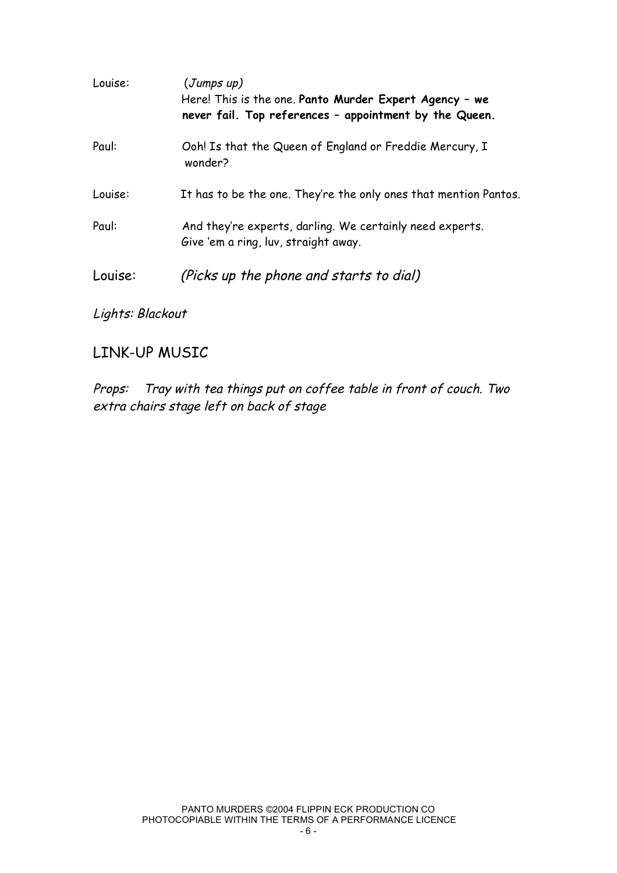| Louise: | (Jumps up)<br>Here! This is the one. Panto Murder Expert Agency - we<br>never fail. Top references - appointment by the Queen. |
|---------|--------------------------------------------------------------------------------------------------------------------------------|
| Paul:   | Ooh! Is that the Queen of England or Freddie Mercury, I<br>wonder?                                                             |
| Louise: | It has to be the one. They're the only ones that mention Pantos.                                                               |
| Paul:   | And they're experts, darling. We certainly need experts.<br>Give 'em a ring, luv, straight away.                               |
| Louise: | (Picks up the phone and starts to dial)                                                                                        |

### Lights: Blackout

## LINK-UP MUSIC

Props: Tray with tea things put on coffee table in front of couch. Two extra chairs stage left on back of stage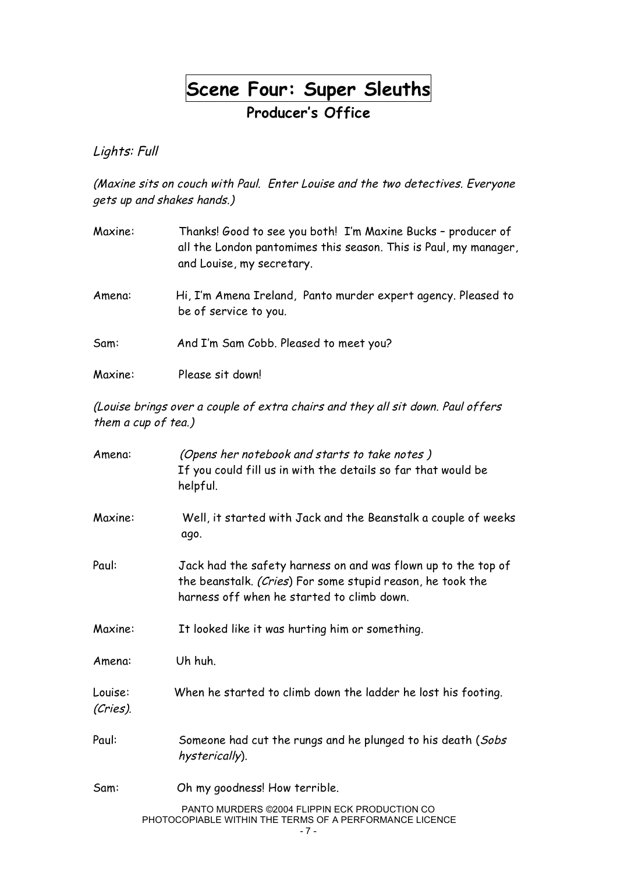**Scene Four: Super Sleuths**

**Producer's Office**

Lights: Full

(Maxine sits on couch with Paul. Enter Louise and the two detectives. Everyone gets up and shakes hands.)

| Maxine: | Thanks! Good to see you both! I'm Maxine Bucks - producer of<br>all the London pantomimes this season. This is Paul, my manager,<br>and Louise, my secretary. |
|---------|---------------------------------------------------------------------------------------------------------------------------------------------------------------|
| Amena:  | Hi, I'm Amena Ireland, Panto murder expert agency. Pleased to<br>be of service to you.                                                                        |
| Sam:    | And I'm Sam Cobb. Pleased to meet you?                                                                                                                        |
| Maxine: | Please sit down!                                                                                                                                              |

(Louise brings over <sup>a</sup> couple of extra chairs and they all sit down. Paul offers them <sup>a</sup> cup of tea.)

| Amena:              | (Opens her notebook and starts to take notes)<br>If you could fill us in with the details so far that would be<br>helpful.                                                |
|---------------------|---------------------------------------------------------------------------------------------------------------------------------------------------------------------------|
| Maxine:             | Well, it started with Jack and the Beanstalk a couple of weeks<br>ago.                                                                                                    |
| Paul:               | Jack had the safety harness on and was flown up to the top of<br>the beanstalk. (Cries) For some stupid reason, he took the<br>harness off when he started to climb down. |
| Maxine:             | It looked like it was hurting him or something.                                                                                                                           |
| Amena:              | Uh huh.                                                                                                                                                                   |
| Louise:<br>(Cries). | When he started to climb down the ladder he lost his footing.                                                                                                             |
| Paul:               | Someone had cut the rungs and he plunged to his death (Sobs<br>hysterically).                                                                                             |
| Sam:                | Oh my goodness! How terrible.                                                                                                                                             |
|                     | PANTO MURDERS ©2004 FLIPPIN ECK PRODUCTION CO<br>PHOTOCOPIABLE WITHIN THE TERMS OF A PERFORMANCE LICENCE                                                                  |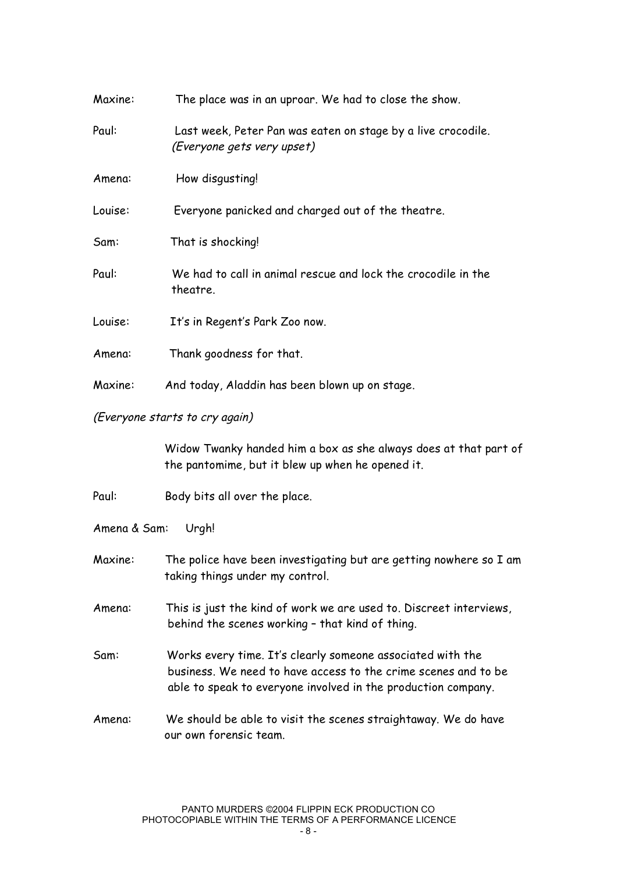| Maxine: | The place was in an uproar. We had to close the show.                                      |
|---------|--------------------------------------------------------------------------------------------|
| Paul:   | Last week, Peter Pan was eaten on stage by a live crocodile.<br>(Everyone gets very upset) |
| Amena:  | How disgusting!                                                                            |
| Louise: | Everyone panicked and charged out of the theatre.                                          |
| Sam:    | That is shocking!                                                                          |
| Paul:   | We had to call in animal rescue and lock the crocodile in the<br>theatre.                  |
| Louise: | It's in Regent's Park Zoo now.                                                             |
| Amena:  | Thank goodness for that.                                                                   |
| Maxine: | And today, Aladdin has been blown up on stage.                                             |

#### (Everyone starts to cry again)

Widow Twanky handed him a box as she always does at that part of the pantomime, but it blew up when he opened it.

Paul: Body bits all over the place.

Amena & Sam: Urgh!

Maxine: The police have been investigating but are getting nowhere so I am taking things under my control.

Amena: This is just the kind of work we are used to. Discreet interviews, behind the scenes working – that kind of thing.

- Sam: Works every time. It's clearly someone associated with the business. We need to have access to the crime scenes and to be able to speak to everyone involved in the production company.
- Amena: We should be able to visit the scenes straightaway. We do have our own forensic team.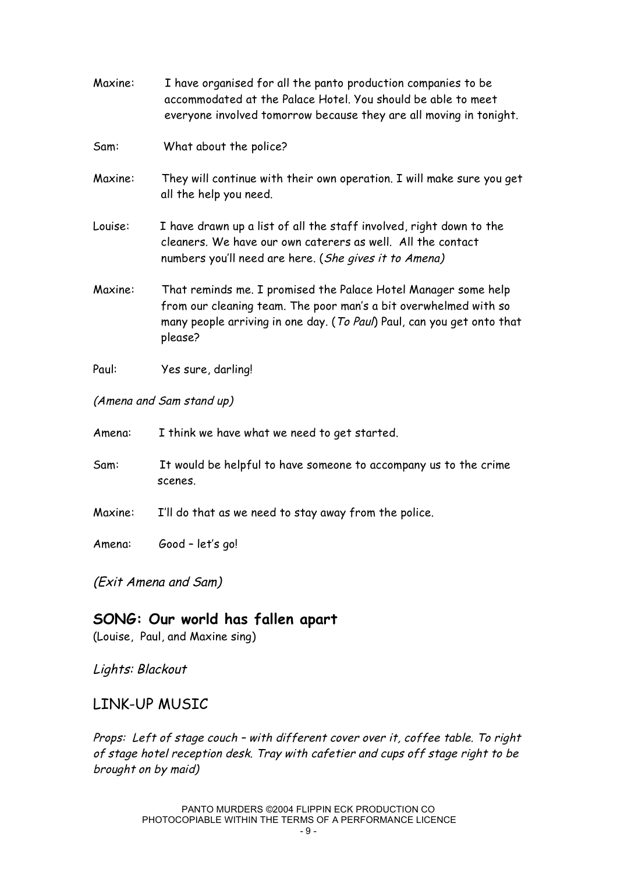- Maxine: I have organised for all the panto production companies to be accommodated at the Palace Hotel. You should be able to meet everyone involved tomorrow because they are all moving in tonight.
- Sam: What about the police?
- Maxine: They will continue with their own operation. I will make sure you get all the help you need.
- Louise: I have drawn up a list of all the staff involved, right down to the cleaners. We have our own caterers as well. All the contact numbers you'll need are here. (She gives it to Amena)
- Maxine: That reminds me. I promised the Palace Hotel Manager some help from our cleaning team. The poor man's a bit overwhelmed with so many people arriving in one day. (To Paul) Paul, can you get onto that please?
- Paul: Yes sure, darling!
- (Amena and Sam stand up)
- Amena: I think we have what we need to get started.
- Sam: It would be helpful to have someone to accompany us to the crime scenes.
- Maxine: I'll do that as we need to stay away from the police.
- Amena: Good let's go!

(Exit Amena and Sam)

### **SONG: Our world has fallen apart**

(Louise, Paul, and Maxine sing)

Lights: Blackout

### LINK-UP MUSIC

Props: Left of stage couch – with different cover over it, coffee table. To right of stage hotel reception desk. Tray with cafetier and cups off stage right to be brought on by maid)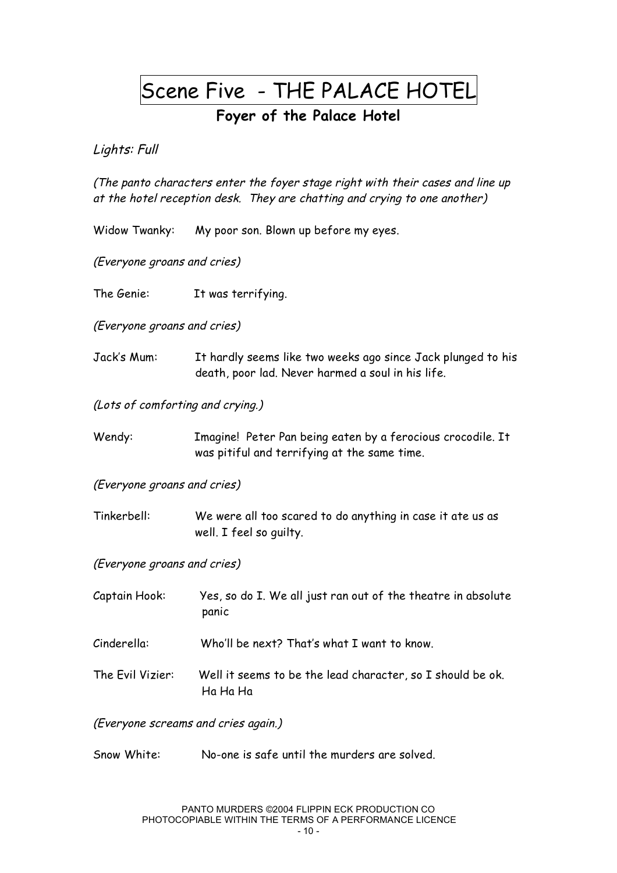# Scene Five - THE PALACE HOTEL

## **Foyer of the Palace Hotel**

Lights: Full

(The panto characters enter the foyer stage right with their cases and line up at the hotel reception desk. They are chatting and crying to one another)

Widow Twanky: My poor son. Blown up before my eyes.

(Everyone groans and cries)

The Genie: It was terrifying.

(Everyone groans and cries)

Jack's Mum: It hardly seems like two weeks ago since Jack plunged to his death, poor lad. Never harmed a soul in his life.

(Lots of comforting and crying.)

Wendy: Imagine! Peter Pan being eaten by a ferocious crocodile. It was pitiful and terrifying at the same time.

(Everyone groans and cries)

Tinkerbell: We were all too scared to do anything in case it ate us as well. I feel so guilty.

(Everyone groans and cries)

| Captain Hook:    | Yes, so do I. We all just ran out of the theatre in absolute<br>panic  |
|------------------|------------------------------------------------------------------------|
| Cinderella:      | Who'll be next? That's what I want to know.                            |
| The Evil Vizier: | Well it seems to be the lead character, so I should be ok.<br>Ha Ha Ha |

(Everyone screams and cries again.)

Snow White: No-one is safe until the murders are solved.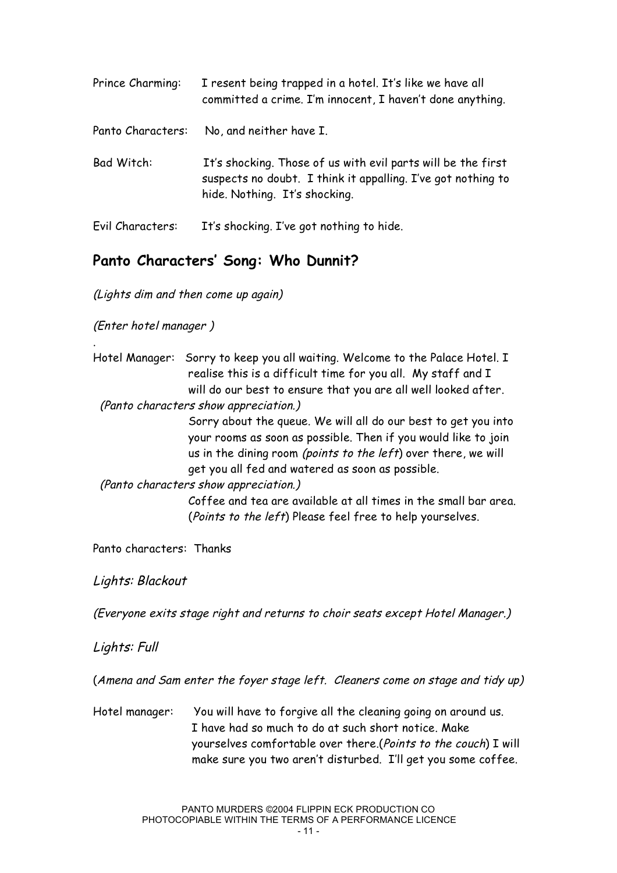| Prince Charming:  | I resent being trapped in a hotel. It's like we have all<br>committed a crime. I'm innocent, I haven't done anything.                                         |
|-------------------|---------------------------------------------------------------------------------------------------------------------------------------------------------------|
| Panto Characters: | No, and neither have I.                                                                                                                                       |
| Bad Witch:        | It's shocking. Those of us with evil parts will be the first<br>suspects no doubt. I think it appalling. I've got nothing to<br>hide. Nothing. It's shocking. |
| Evil Characters:  | It's shocking. I've got nothing to hide.                                                                                                                      |

## **Panto Characters' Song: Who Dunnit?**

(Lights dim and then come up again)

(Enter hotel manager )

.

| Hotel Manager: Sorry to keep you all waiting. Welcome to the Palace Hotel. I |
|------------------------------------------------------------------------------|
| realise this is a difficult time for you all. My staff and I                 |
| will do our best to ensure that you are all well looked after.               |
|                                                                              |

(Panto characters show appreciation.)

Sorry about the queue. We will all do our best to get you into your rooms as soon as possible. Then if you would like to join us in the dining room (points to the left) over there, we will get you all fed and watered as soon as possible.

(Panto characters show appreciation.)

Coffee and tea are available at all times in the small bar area. (Points to the left) Please feel free to help yourselves.

Panto characters: Thanks

Lights: Blackout

(Everyone exits stage right and returns to choir seats except Hotel Manager.)

Lights: Full

(Amena and Sam enter the foyer stage left. Cleaners come on stage and tidy up)

Hotel manager: You will have to forgive all the cleaning going on around us. I have had so much to do at such short notice. Make yourselves comfortable over there.(Points to the couch) I will make sure you two aren't disturbed. I'll get you some coffee.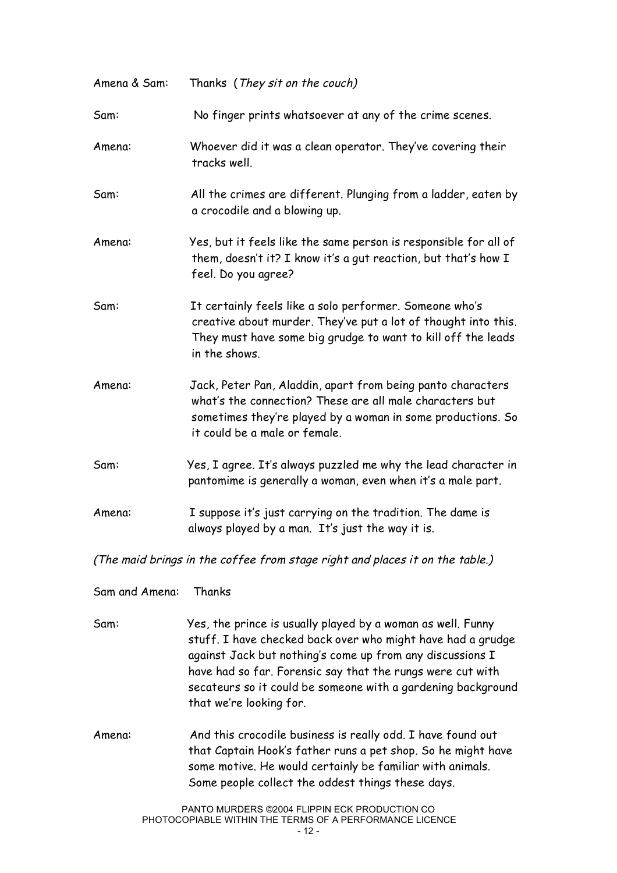| Amena & Sam: | Thanks (They sit on the couch)                                                                                                                                                                                          |
|--------------|-------------------------------------------------------------------------------------------------------------------------------------------------------------------------------------------------------------------------|
| Sam:         | No finger prints whatsoever at any of the crime scenes.                                                                                                                                                                 |
| Amena:       | Whoever did it was a clean operator. They've covering their<br>tracks well.                                                                                                                                             |
| Sam:         | All the crimes are different. Plunging from a ladder, eaten by<br>a crocodile and a blowing up.                                                                                                                         |
| Amena:       | Yes, but it feels like the same person is responsible for all of<br>them, doesn't it? I know it's a gut reaction, but that's how I<br>feel. Do you agree?                                                               |
| Sam:         | It certainly feels like a solo performer. Someone who's<br>creative about murder. They've put a lot of thought into this.<br>They must have some big grudge to want to kill off the leads<br>in the shows.              |
| Amena:       | Jack, Peter Pan, Aladdin, apart from being panto characters<br>what's the connection? These are all male characters but<br>sometimes they're played by a woman in some productions. So<br>it could be a male or female. |
| Sam:         | Yes, I agree. It's always puzzled me why the lead character in<br>pantomime is generally a woman, even when it's a male part.                                                                                           |
| Amena:       | I suppose it's just carrying on the tradition. The dame is<br>always played by a man. It's just the way it is.                                                                                                          |

(The maid brings in the coffee from stage right and places it on the table.)

Sam and Amena: Thanks

Sam: Yes, the prince is usually played by a woman as well. Funny stuff. I have checked back over who might have had a grudge against Jack but nothing's come up from any discussions I have had so far. Forensic say that the rungs were cut with secateurs so it could be someone with a gardening background that we're looking for.

Amena: And this crocodile business is really odd. I have found out that Captain Hook's father runs a pet shop. So he might have some motive. He would certainly be familiar with animals. Some people collect the oddest things these days.